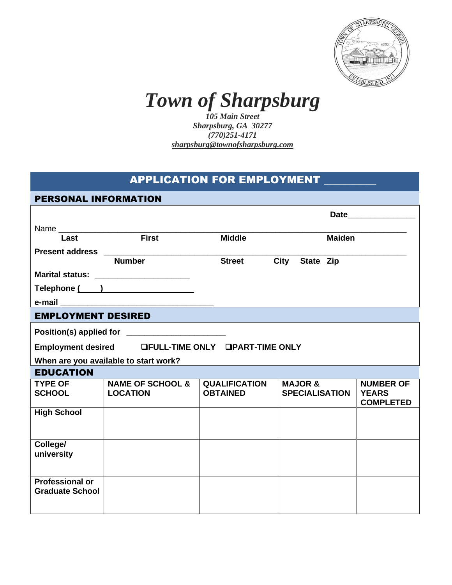

## *Town of Sharpsburg*

*105 Main Street Sharpsburg, GA 30277 (770)251-4171 sharpsburg@townofsharpsburg.com*

## **APPLICATION FOR EMPLOYMENT**

| <b>PERSONAL INFORMATION</b>                        |                                       |                      |                       |                                  |  |  |
|----------------------------------------------------|---------------------------------------|----------------------|-----------------------|----------------------------------|--|--|
|                                                    |                                       |                      |                       |                                  |  |  |
|                                                    |                                       |                      |                       |                                  |  |  |
| Last                                               | First                                 | <b>Middle</b>        | <b>Maiden</b>         |                                  |  |  |
|                                                    | <b>Number</b>                         | <b>Street</b>        | City<br>State Zip     |                                  |  |  |
|                                                    |                                       |                      |                       |                                  |  |  |
|                                                    | Marital status: _____________________ |                      |                       |                                  |  |  |
|                                                    | Telephone ( )                         |                      |                       |                                  |  |  |
| e-mail                                             |                                       |                      |                       |                                  |  |  |
| <b>EMPLOYMENT DESIRED</b>                          |                                       |                      |                       |                                  |  |  |
| Position(s) applied for ________________________   |                                       |                      |                       |                                  |  |  |
| Employment desired LFULL-TIME ONLY LPART-TIME ONLY |                                       |                      |                       |                                  |  |  |
| When are you available to start work?              |                                       |                      |                       |                                  |  |  |
| <b>EDUCATION</b>                                   |                                       |                      |                       |                                  |  |  |
| <b>TYPE OF</b>                                     | <b>NAME OF SCHOOL &amp;</b>           | <b>QUALIFICATION</b> | <b>MAJOR &amp;</b>    | <b>NUMBER OF</b>                 |  |  |
| <b>SCHOOL</b>                                      | <b>LOCATION</b>                       | <b>OBTAINED</b>      | <b>SPECIALISATION</b> | <b>YEARS</b><br><b>COMPLETED</b> |  |  |
| <b>High School</b>                                 |                                       |                      |                       |                                  |  |  |
|                                                    |                                       |                      |                       |                                  |  |  |
| College/                                           |                                       |                      |                       |                                  |  |  |
| university                                         |                                       |                      |                       |                                  |  |  |
|                                                    |                                       |                      |                       |                                  |  |  |
| <b>Professional or</b>                             |                                       |                      |                       |                                  |  |  |
| <b>Graduate School</b>                             |                                       |                      |                       |                                  |  |  |
|                                                    |                                       |                      |                       |                                  |  |  |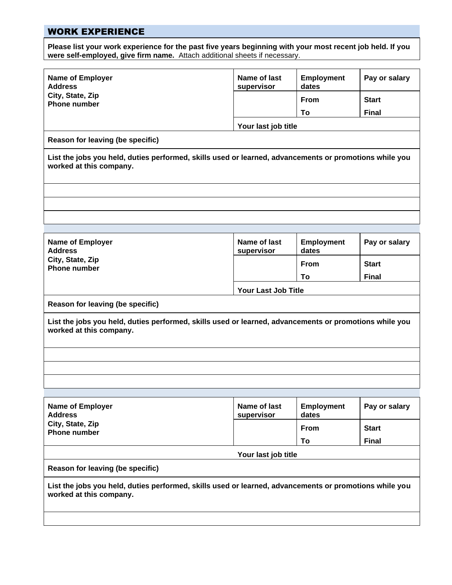## WORK EXPERIENCE

**Please list your work experience for the past five years beginning with your most recent job held. If you were self-employed, give firm name.** Attach additional sheets if necessary.

| <b>Name of Employer</b><br><b>Address</b>                                                                                         | Name of last<br>supervisor | <b>Employment</b><br>dates | Pay or salary |  |  |  |  |
|-----------------------------------------------------------------------------------------------------------------------------------|----------------------------|----------------------------|---------------|--|--|--|--|
| City, State, Zip<br><b>Phone number</b>                                                                                           |                            | <b>From</b>                | <b>Start</b>  |  |  |  |  |
|                                                                                                                                   |                            | To                         | <b>Final</b>  |  |  |  |  |
|                                                                                                                                   | Your last job title        |                            |               |  |  |  |  |
| Reason for leaving (be specific)                                                                                                  |                            |                            |               |  |  |  |  |
| List the jobs you held, duties performed, skills used or learned, advancements or promotions while you<br>worked at this company. |                            |                            |               |  |  |  |  |
|                                                                                                                                   |                            |                            |               |  |  |  |  |
|                                                                                                                                   |                            |                            |               |  |  |  |  |
| <b>Name of Employer</b><br><b>Address</b>                                                                                         | Name of last<br>supervisor | <b>Employment</b><br>dates | Pay or salary |  |  |  |  |
| City, State, Zip<br><b>Phone number</b>                                                                                           |                            | <b>From</b>                | <b>Start</b>  |  |  |  |  |
|                                                                                                                                   |                            | To                         | <b>Final</b>  |  |  |  |  |
|                                                                                                                                   | Your Last Job Title        |                            |               |  |  |  |  |
| Reason for leaving (be specific)                                                                                                  |                            |                            |               |  |  |  |  |
| List the jobs you held, duties performed, skills used or learned, advancements or promotions while you<br>worked at this company. |                            |                            |               |  |  |  |  |
|                                                                                                                                   |                            |                            |               |  |  |  |  |
| <b>Name of Employer</b><br><b>Address</b>                                                                                         | Name of last<br>supervisor | <b>Employment</b><br>dates | Pay or salary |  |  |  |  |
| City, State, Zip<br><b>Phone number</b>                                                                                           |                            | From                       | <b>Start</b>  |  |  |  |  |
|                                                                                                                                   |                            | To                         | <b>Final</b>  |  |  |  |  |
|                                                                                                                                   | Your last job title        |                            |               |  |  |  |  |
| Reason for leaving (be specific)                                                                                                  |                            |                            |               |  |  |  |  |
| List the jobs you held, duties performed, skills used or learned, advancements or promotions while you<br>worked at this company. |                            |                            |               |  |  |  |  |
|                                                                                                                                   |                            |                            |               |  |  |  |  |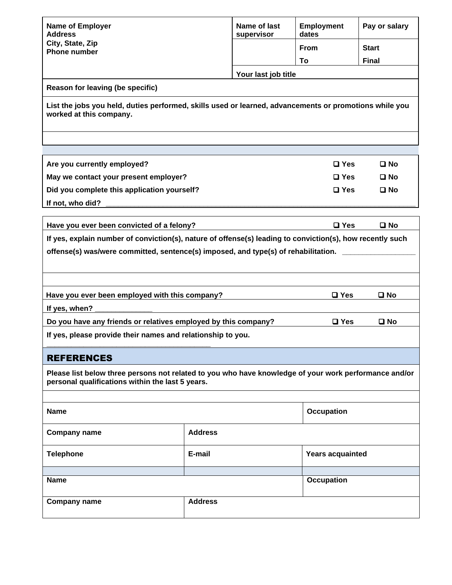| Name of last<br><b>Employment</b><br>Pay or salary<br><b>Name of Employer</b><br><b>Address</b><br>supervisor<br>dates<br>City, State, Zip<br>From<br><b>Start</b><br><b>Phone number</b><br><b>Final</b><br>To<br>Your last job title<br>Reason for leaving (be specific)<br>List the jobs you held, duties performed, skills used or learned, advancements or promotions while you<br>worked at this company. |                                                             |              |                         |              |  |  |  |
|-----------------------------------------------------------------------------------------------------------------------------------------------------------------------------------------------------------------------------------------------------------------------------------------------------------------------------------------------------------------------------------------------------------------|-------------------------------------------------------------|--------------|-------------------------|--------------|--|--|--|
|                                                                                                                                                                                                                                                                                                                                                                                                                 |                                                             |              |                         |              |  |  |  |
| Are you currently employed?                                                                                                                                                                                                                                                                                                                                                                                     | $\Box$ Yes                                                  | $\square$ No |                         |              |  |  |  |
| May we contact your present employer?                                                                                                                                                                                                                                                                                                                                                                           |                                                             |              | $\square$ Yes           | $\square$ No |  |  |  |
| Did you complete this application yourself?<br>If not, who did?                                                                                                                                                                                                                                                                                                                                                 |                                                             |              | $\Box$ Yes              | $\square$ No |  |  |  |
|                                                                                                                                                                                                                                                                                                                                                                                                                 |                                                             |              |                         |              |  |  |  |
| Have you ever been convicted of a felony?                                                                                                                                                                                                                                                                                                                                                                       |                                                             |              | $\square$ Yes           | $\square$ No |  |  |  |
| If yes, explain number of conviction(s), nature of offense(s) leading to conviction(s), how recently such<br>offense(s) was/were committed, sentence(s) imposed, and type(s) of rehabilitation.                                                                                                                                                                                                                 |                                                             |              |                         |              |  |  |  |
| Have you ever been employed with this company?<br>$\square$ Yes<br>$\square$ No                                                                                                                                                                                                                                                                                                                                 |                                                             |              |                         |              |  |  |  |
| If yes, when?                                                                                                                                                                                                                                                                                                                                                                                                   |                                                             |              |                         |              |  |  |  |
| Do you have any friends or relatives employed by this company?                                                                                                                                                                                                                                                                                                                                                  | $\square$ Yes                                               | $\square$ No |                         |              |  |  |  |
|                                                                                                                                                                                                                                                                                                                                                                                                                 | If yes, please provide their names and relationship to you. |              |                         |              |  |  |  |
| <b>REFERENCES</b>                                                                                                                                                                                                                                                                                                                                                                                               |                                                             |              |                         |              |  |  |  |
| Please list below three persons not related to you who have knowledge of your work performance and/or<br>personal qualifications within the last 5 years.                                                                                                                                                                                                                                                       |                                                             |              |                         |              |  |  |  |
| <b>Name</b>                                                                                                                                                                                                                                                                                                                                                                                                     |                                                             |              | <b>Occupation</b>       |              |  |  |  |
| <b>Company name</b>                                                                                                                                                                                                                                                                                                                                                                                             | <b>Address</b>                                              |              |                         |              |  |  |  |
| <b>Telephone</b>                                                                                                                                                                                                                                                                                                                                                                                                | E-mail                                                      |              | <b>Years acquainted</b> |              |  |  |  |
| <b>Name</b>                                                                                                                                                                                                                                                                                                                                                                                                     |                                                             | Occupation   |                         |              |  |  |  |
| <b>Company name</b>                                                                                                                                                                                                                                                                                                                                                                                             | <b>Address</b>                                              |              |                         |              |  |  |  |